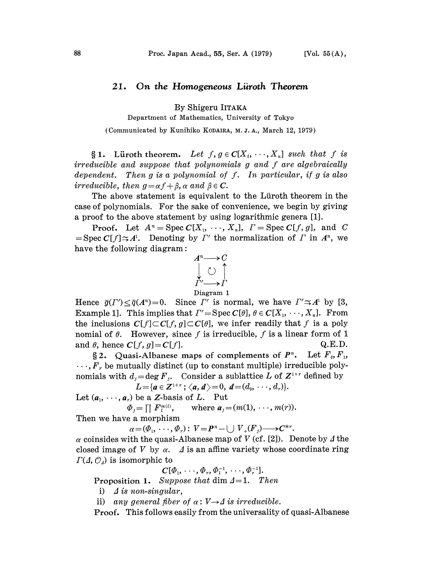## 21. On the Homogeneous Liiroth Theorem

By Shigeru IITAKA

Department of Mathematics, University of Tokyo

(Communicated by Kunihiko KODAIRA, M. J. A., March 12, 1979)

§ 1. Lüroth theorem. Let  $f, g \in C[X_1, \dots, X_n]$  such that f is irreducible and suppose that polynomials g and f are algebraically dependent. Then  $g$  is a polynomial of  $f$ . In particular, if  $g$  is also irreducible, then  $g = \alpha f + \beta$ ,  $\alpha$  and  $\beta \in \mathbb{C}$ .

The above statement is equivalent to the Lüroth theorem in the case of polynomials. For the sake of convenience, we begin by giving a proof to the above statement by using logarithmic genera [1].

**Proof.** Let  $A^n = \text{Spec } C[X_1, \dots, X_n]$ ,  $\Gamma = \text{Spec } C[f, g]$ , and C  $=\text{Spec } C[f] \simeq A^1$ . Denoting by  $\Gamma'$  the normalization of  $\Gamma$  in  $A^n$ , we have the following diagram:



Hence  $\bar{g}(I') \leq \bar{q}(A^n)=0$ . Since  $I'$  is normal, we have  $I' \simeq A^1$  by [3, Example 1]. This implies that  $\Gamma' = \text{Spec } C[\theta], \theta \in C[X_1, \dots, X_n].$  From the inclusions  $C[f] \subset C[f, g] \subset C[\theta]$ , we infer readily that f is a poly nomial of  $\theta$ . However, since f is irreducible, f is a linear form of 1 and  $\theta$ , hence  $C[f, g] = C[f]$ . Q.E.D.

§ 2. Quasi-Albanese maps of complements of  $P^n$ . Let  $F_0, F_1$ ,  $\ldots$ ,  $F_r$  be mutually distinct (up to constant multiple) irreducible polynomials with  $d_j = \deg F_j$ . Consider a sublattice L of  $Z^{1+r}$  defined by  $L = \{a \in \mathbb{Z}^{1+r} : \langle a, d \rangle = 0, d = (d_0, \dots, d_r)\}.$ 

Let  $(a_1, \dots, a_r)$  be a Z-basis of L. Put

 $\Phi_i = \prod F_i^{m(i)}$ , where  $a_i = (m(1), \dots, m(r))$ .

Then we have a morphism

 $\alpha=(\varPhi_1, \ldots, \varPhi_r): V=P^n-\bigcup V_+(F) \longrightarrow C^{*r}.$ 

 $\alpha$  coinsides with the quasi-Albanese map of V (cf. [2]). Denote by  $\Delta$  the closed image of V by  $\alpha$ .  $\Delta$  is an affine variety whose coordinate ring  $\Gamma(\Lambda, \mathcal{O}_d)$  is isomorphic to

$$
C[\phi_1, \, \cdots, \phi_r, \phi_1^{-1}, \, \cdots, \phi_r^{-1}].
$$

Proposition 1. Suppose that dim  $\Delta=1$ . Then

i)  $\Delta$  is non-singular,

ii) any general fiber of  $\alpha: V \rightarrow \Delta$  is irreducible.<br>Proof This follows easily from the universality

Proof. This follows easily from the universality of quasi-Albanese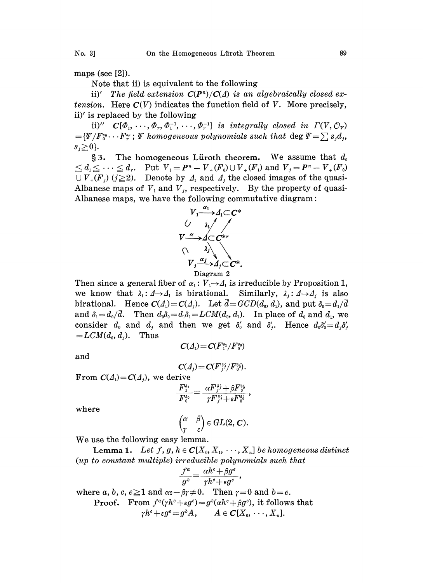maps (see [2]).

Note that ii) is equivalent to the following

ii)' The field extension  $C(P^n)/C(\Delta)$  is an algebraically closed extension. Here  $C(V)$  indicates the function field of V. More precisely, ii)' is replaced by the following

ii)"  $C[\Phi_1, \cdots, \Phi_r, \Phi_1^{-1}, \cdots, \Phi_r^{-1}]$  is integrally closed in  $\Gamma(V, \mathcal{O}_V)$  ${=[\Psi/F_0^{s_0} \cdots F_r^{s_r}]}$ ;  ${\Psi}$  homogeneous polynomials such that  $\deg \Psi = \sum s_j d_j$ ,  $s_i \geq 0$ .

§3. The homogeneous Lüroth theorem. We assume that  $d_0$  $\leq d_1 \leq \cdots \leq d_r$ . Put  $V_1 = P^n - V_+(F_0) \cup V_+(F_1)$  and  $V_1 = P^n - V_+(F_0)$  $\bigcup V_{+}(F_{j})$  ( $j \geq 2$ ). Denote by  $\Lambda_{1}$  and  $\Lambda_{j}$  the closed images of the quasi-Albanese maps of  $V_1$  and  $V_2$ , respectively. By the property of quasi-Albanese maps., we have the following commutative diagram'



Diagram 2<br>Then since a general fiber of  $\alpha_1: V_1 \rightarrow A_1$  is irreducible by Proposition 1, Then since a general fiber of  $\alpha_1: V_1 \rightarrow A_1$  is irreducible by Proposition 1,<br>we know that  $\lambda_1: A \rightarrow A_1$  is birational. Similarly,  $\lambda_j: A \rightarrow A_j$  is also birational. Hence  $C(\Lambda_i) = C(\Lambda_j)$ . Let  $\bar{d} = GCD(d_0, d_1)$ , and put  $\delta_0 = d_1/\bar{d}$ and  $\delta_1=d_0/\bar{d}$ . Then  $d_0\delta_0=d_1\delta_1=LCM(d_0, d_1)$ . In place of  $d_0$  and  $d_1$ , we consider  $d_0$  and  $d_1$  and then we get  $\delta'_0$  and  $\delta'_1$ . Hence  $d_0\delta'_0=d_1\delta'_1$  $= LCM(d_0, d_1)$ . Thus

$$
\quad \text{and} \quad
$$

$$
C(\Lambda_j)=C(F_{j}^{s_j}/F_0^{s_0}).
$$

 $C(\Lambda) = C(F_1^{\delta_1}/F_0^{\delta_0})$ 

From  $C(\Lambda_i)=C(\Lambda_i)$ , we derive

$$
\frac{F_1^{\delta_1}}{F_0^{\delta_0}}\!=\!\frac{\alpha F_{{\widetilde{j}}}^{{\widetilde{s}}{\widetilde{j}}}+\beta F_0^{{\delta}{\widetilde{0}}}}{\gamma F_{{\widetilde{j}}}^{{\widetilde{s}}{\widetilde{j}}}+\varepsilon F_0^{{\delta}{\widetilde{0}}}}
$$

where

$$
\begin{pmatrix} \alpha & \beta \\ \gamma & \varepsilon \end{pmatrix} \in GL(2,\,\mathbf{C}).
$$

We use the following easy lemma.

**Lemma 1.** Let  $f, g, h \in C[X_0, X_1, \dots, X_n]$  be homogeneous distinct  $(up\ to\ constant\ multiple) \ irreducible\ polynomials\ such\ that$  $\frac{f^a}{f^a} = \frac{\alpha h^c + \beta g}{h^b}$ 

where 
$$
a, b, c, e \ge 1
$$
 and  $\alpha \in -\beta \gamma \ne 0$ . Then  $\gamma = 0$  and  $b = e$ .  
\nProof. From  $f^a(\gamma h^c + \varepsilon g^e) = g^b(\alpha h^c + \beta g^e)$ , it follows that  
\n $\gamma h^c + \varepsilon g^e = g^b A$ ,  $A \in C[X_0, \dots, X_n]$ .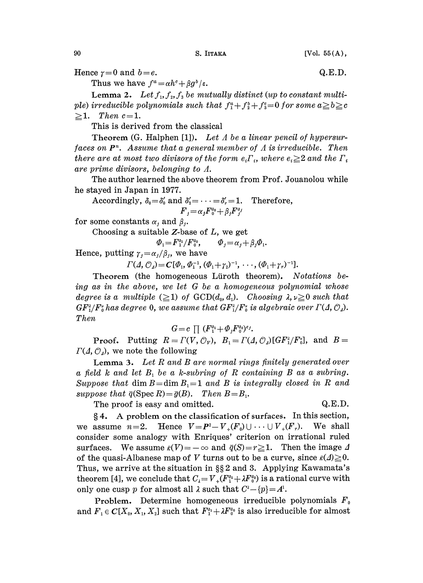90 S. ITTAKA [Vol. 55 (A),

Hence  $\gamma=0$  and  $b=e$ . Q.E.D.

Thus we have  $f^a = \alpha h^c + \beta g^b / \varepsilon$ .

**Lemma 2.** Let  $f_1, f_2, f_3$  be mutually distinct (up to constant multiple) irreducible polynomials such that  $f_1^a + f_2^b + f_3^c = 0$  for some  $a \geq b \geq c$  $\geq 1$ . Then c=1.

This is derived from the classical

Theorem  $(G.$  Halphen [1]). Let  $\Lambda$  be a linear pencil of hypersurfaces on  $P<sup>n</sup>$ . Assume that a general member of  $\Lambda$  is irreducible. Then there are at most two divisors of the form  $e_i \Gamma_i$ , where  $e_i \geq 2$  and the  $\Gamma_i$ are prime divisors, belonging to A.

The author learned the above theorem from Prof. Jouanolou while he stayed in Japan in 1977.

Accordingly,  $\delta_0 = \delta'_0$  and  $\delta'_2 = \cdots = \delta'_r = 1$ . Therefore,  $F_{i}=\alpha_{j}F_{0}^{\delta_{0}}+\beta_{i}F_{i}^{\delta_{j}}$ 

for some constants  $\alpha_i$  and  $\beta_i$ .

Choosing a suitable  $Z$ -base of  $L$ , we get

 $\Phi_1 =$ 

$$
F_1^{\delta_1}/F_0^{\delta_0}, \qquad \Phi_j = \alpha_j + \beta_j \Phi_1.
$$

Hence, putting  $\gamma_i = \alpha_i/\beta_i$ , we have

 $\Gamma(\Lambda, \mathcal{O}_4) = C[\Phi_1, \Phi_1^{-1}, (\Phi_1 + \gamma_2)^{-1}, \cdots, (\Phi_1 + \gamma_r)^{-1}].$ 

Theorem (the homogeneous Lüroth theorem). Notations being as in the above, we let  $G$  be a homogeneous polynomial whose degree is a multiple  $(\geq 1)$  of  $GCD(d_0, d_1)$ . Choosing  $\lambda, \nu \geq 0$  such that  $GF^2_1/F^2_0$  has degree 0, we assume that  $GF^2_1/F^2_0$  is algebraic over  $\Gamma(\Lambda, \mathcal{O}_d)$ . Then

 $G = c \prod (F_1^{s_1} + \Phi_i F_0^{s_0})^{e_j}.$ 

**Proof.** Putting  $R = \Gamma(V, \mathcal{O}_V)$ ,  $B_1 = \Gamma(A, \mathcal{O}_A)[GF_1^2/F_0^2]$ , and  $B =$  $\Gamma(\Lambda, \mathcal{O}_4)$ , we note the following

**Lemma 3.** Let  $R$  and  $B$  are normal rings finitely generated over a field  $k$  and let  $B_1$  be a k-subring of R containing B as a subring. Suppose that dim  $B = \dim B_1 = 1$  and B is integrally closed in R and suppose that  $\overline{q}(\text{Spec } R) = \overline{g}(B)$ . Then  $B = B_1$ .

The proof is easy and omitted.  $Q.E.D.$ 

 $§ 4.$  A problem on the classification of surfaces. In this section, we assume  $n=2$ . Hence  $V=P^2-V_+(F_0) \cup \cdots \cup V_+(F_r)$ . We shall consider some analogy with Enriques' criterion on irrational ruled surfaces. We assume  $\bar{\kappa}(V) = -\infty$  and  $\bar{q}(S) = r \ge 1$ . Then the image  $\Delta$ of the quasi-Albanese map of V turns out to be a curve, since  $\bar{\kappa}(A) \geq 0$ . Thus, we arrive at the situation in  $\S\S 2$  and 3. Applying Kawamata's theorem [4], we conclude that  $C_{\lambda} = V_{+}(F_{1}^{s_{1}} + \lambda F_{0}^{s_{0}})$  is a rational curve with only one cusp p for almost all  $\lambda$  such that  $C^{\lambda} - \{p\} = A^{\lambda}$ .

**Problem.** Determine homogeneous irreducible polynomials  $F_0$ and  $F_1 \in C[X_0, X_1, X_2]$  such that  $F_1^{s_1} + \lambda F_0^{s_0}$  is also irreducible for almost